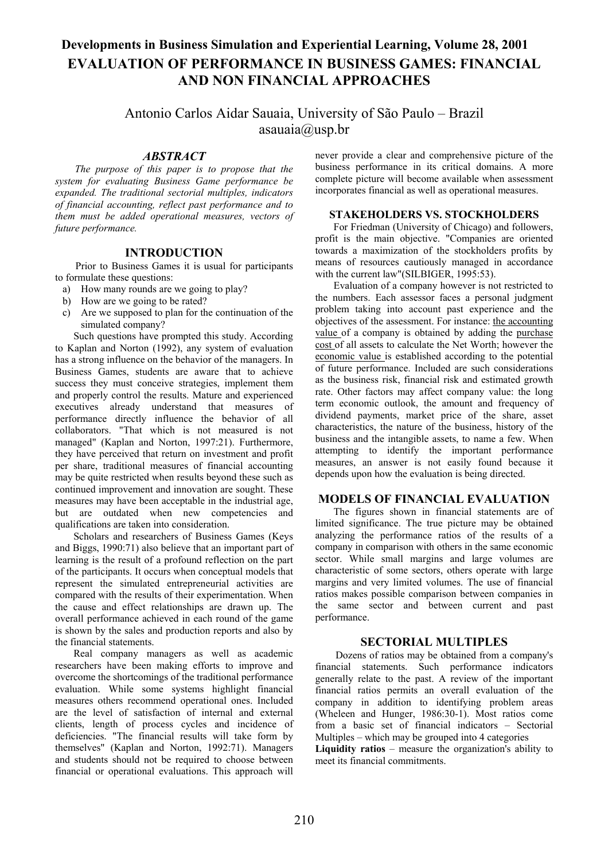## **Developments in Business Simulation and Experiential Learning, Volume 28, 2001 EVALUATION OF PERFORMANCE IN BUSINESS GAMES: FINANCIAL AND NON FINANCIAL APPROACHES**

Antonio Carlos Aidar Sauaia, University of São Paulo – Brazil asauaia@usp.br

## *ABSTRACT*

*The purpose of this paper is to propose that the system for evaluating Business Game performance be expanded. The traditional sectorial multiples, indicators of financial accounting, reflect past performance and to them must be added operational measures, vectors of future performance.* 

### **INTRODUCTION**

Prior to Business Games it is usual for participants to formulate these questions:

- a) How many rounds are we going to play?
- b) How are we going to be rated?
- c) Are we supposed to plan for the continuation of the simulated company?

Such questions have prompted this study. According to Kaplan and Norton (1992), any system of evaluation has a strong influence on the behavior of the managers. In Business Games, students are aware that to achieve success they must conceive strategies, implement them and properly control the results. Mature and experienced executives already understand that measures of performance directly influence the behavior of all collaborators. "That which is not measured is not managed" (Kaplan and Norton, 1997:21). Furthermore, they have perceived that return on investment and profit per share, traditional measures of financial accounting may be quite restricted when results beyond these such as continued improvement and innovation are sought. These measures may have been acceptable in the industrial age, but are outdated when new competencies and qualifications are taken into consideration.

Scholars and researchers of Business Games (Keys and Biggs, 1990:71) also believe that an important part of learning is the result of a profound reflection on the part of the participants. It occurs when conceptual models that represent the simulated entrepreneurial activities are compared with the results of their experimentation. When the cause and effect relationships are drawn up. The overall performance achieved in each round of the game is shown by the sales and production reports and also by the financial statements.

Real company managers as well as academic researchers have been making efforts to improve and overcome the shortcomings of the traditional performance evaluation. While some systems highlight financial measures others recommend operational ones. Included are the level of satisfaction of internal and external clients, length of process cycles and incidence of deficiencies. "The financial results will take form by themselves" (Kaplan and Norton, 1992:71). Managers and students should not be required to choose between financial or operational evaluations. This approach will

never provide a clear and comprehensive picture of the business performance in its critical domains. A more complete picture will become available when assessment incorporates financial as well as operational measures.

#### **STAKEHOLDERS VS. STOCKHOLDERS**

For Friedman (University of Chicago) and followers, profit is the main objective. "Companies are oriented towards a maximization of the stockholders profits by means of resources cautiously managed in accordance with the current law"(SILBIGER, 1995:53).

Evaluation of a company however is not restricted to the numbers. Each assessor faces a personal judgment problem taking into account past experience and the objectives of the assessment. For instance: the accounting value of a company is obtained by adding the purchase cost of all assets to calculate the Net Worth; however the economic value is established according to the potential of future performance. Included are such considerations as the business risk, financial risk and estimated growth rate. Other factors may affect company value: the long term economic outlook, the amount and frequency of dividend payments, market price of the share, asset characteristics, the nature of the business, history of the business and the intangible assets, to name a few. When attempting to identify the important performance measures, an answer is not easily found because it depends upon how the evaluation is being directed.

## **MODELS OF FINANCIAL EVALUATION**

The figures shown in financial statements are of limited significance. The true picture may be obtained analyzing the performance ratios of the results of a company in comparison with others in the same economic sector. While small margins and large volumes are characteristic of some sectors, others operate with large margins and very limited volumes. The use of financial ratios makes possible comparison between companies in the same sector and between current and past performance.

#### **SECTORIAL MULTIPLES**

Dozens of ratios may be obtained from a company's financial statements. Such performance indicators generally relate to the past. A review of the important financial ratios permits an overall evaluation of the company in addition to identifying problem areas (Wheleen and Hunger, 1986:30-1). Most ratios come from a basic set of financial indicators – Sectorial Multiples – which may be grouped into 4 categories **Liquidity ratios** – measure the organization's ability to

meet its financial commitments.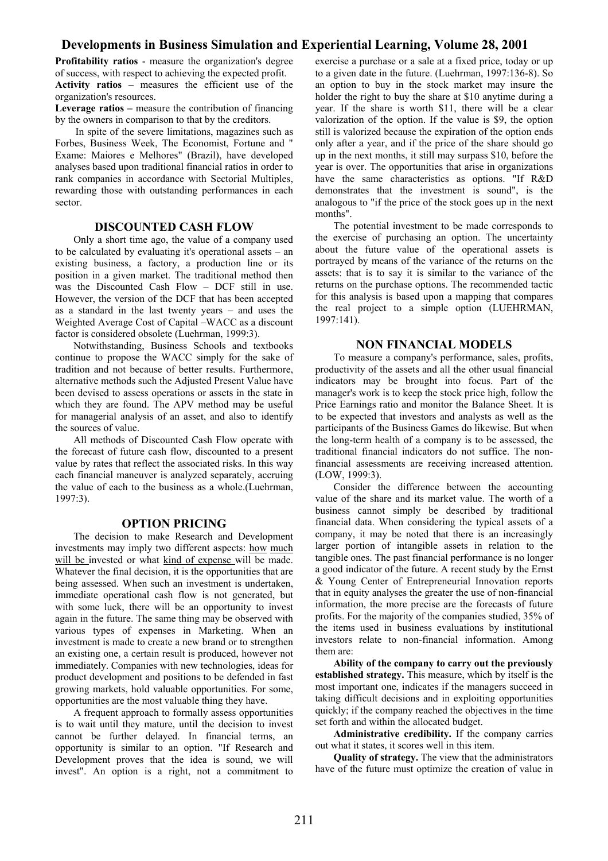**Profitability ratios** - measure the organization's degree of success, with respect to achieving the expected profit. **Activity ratios –** measures the efficient use of the organization's resources.

**Leverage ratios –** measure the contribution of financing by the owners in comparison to that by the creditors.

In spite of the severe limitations, magazines such as Forbes, Business Week, The Economist, Fortune and " Exame: Maiores e Melhores" (Brazil), have developed analyses based upon traditional financial ratios in order to rank companies in accordance with Sectorial Multiples, rewarding those with outstanding performances in each sector.

#### **DISCOUNTED CASH FLOW**

Only a short time ago, the value of a company used to be calculated by evaluating it's operational assets – an existing business, a factory, a production line or its position in a given market. The traditional method then was the Discounted Cash Flow – DCF still in use. However, the version of the DCF that has been accepted as a standard in the last twenty years – and uses the Weighted Average Cost of Capital –WACC as a discount factor is considered obsolete (Luehrman, 1999:3).

Notwithstanding, Business Schools and textbooks continue to propose the WACC simply for the sake of tradition and not because of better results. Furthermore, alternative methods such the Adjusted Present Value have been devised to assess operations or assets in the state in which they are found. The APV method may be useful for managerial analysis of an asset, and also to identify the sources of value.

All methods of Discounted Cash Flow operate with the forecast of future cash flow, discounted to a present value by rates that reflect the associated risks. In this way each financial maneuver is analyzed separately, accruing the value of each to the business as a whole.(Luehrman, 1997:3).

#### **OPTION PRICING**

The decision to make Research and Development investments may imply two different aspects: how much will be invested or what kind of expense will be made. Whatever the final decision, it is the opportunities that are being assessed. When such an investment is undertaken, immediate operational cash flow is not generated, but with some luck, there will be an opportunity to invest again in the future. The same thing may be observed with various types of expenses in Marketing. When an investment is made to create a new brand or to strengthen an existing one, a certain result is produced, however not immediately. Companies with new technologies, ideas for product development and positions to be defended in fast growing markets, hold valuable opportunities. For some, opportunities are the most valuable thing they have.

A frequent approach to formally assess opportunities is to wait until they mature, until the decision to invest cannot be further delayed. In financial terms, an opportunity is similar to an option. "If Research and Development proves that the idea is sound, we will invest". An option is a right, not a commitment to

exercise a purchase or a sale at a fixed price, today or up to a given date in the future. (Luehrman, 1997:136-8). So an option to buy in the stock market may insure the holder the right to buy the share at \$10 anytime during a year. If the share is worth \$11, there will be a clear valorization of the option. If the value is \$9, the option still is valorized because the expiration of the option ends only after a year, and if the price of the share should go up in the next months, it still may surpass \$10, before the year is over. The opportunities that arise in organizations have the same characteristics as options. "If R&D demonstrates that the investment is sound", is the analogous to "if the price of the stock goes up in the next months".

The potential investment to be made corresponds to the exercise of purchasing an option. The uncertainty about the future value of the operational assets is portrayed by means of the variance of the returns on the assets: that is to say it is similar to the variance of the returns on the purchase options. The recommended tactic for this analysis is based upon a mapping that compares the real project to a simple option (LUEHRMAN, 1997:141).

#### **NON FINANCIAL MODELS**

To measure a company's performance, sales, profits, productivity of the assets and all the other usual financial indicators may be brought into focus. Part of the manager's work is to keep the stock price high, follow the Price Earnings ratio and monitor the Balance Sheet. It is to be expected that investors and analysts as well as the participants of the Business Games do likewise. But when the long-term health of a company is to be assessed, the traditional financial indicators do not suffice. The nonfinancial assessments are receiving increased attention. (LOW, 1999:3).

Consider the difference between the accounting value of the share and its market value. The worth of a business cannot simply be described by traditional financial data. When considering the typical assets of a company, it may be noted that there is an increasingly larger portion of intangible assets in relation to the tangible ones. The past financial performance is no longer a good indicator of the future. A recent study by the Ernst & Young Center of Entrepreneurial Innovation reports that in equity analyses the greater the use of non-financial information, the more precise are the forecasts of future profits. For the majority of the companies studied, 35% of the items used in business evaluations by institutional investors relate to non-financial information. Among them are:

**Ability of the company to carry out the previously established strategy.** This measure, which by itself is the most important one, indicates if the managers succeed in taking difficult decisions and in exploiting opportunities quickly; if the company reached the objectives in the time set forth and within the allocated budget.

**Administrative credibility.** If the company carries out what it states, it scores well in this item.

**Quality of strategy.** The view that the administrators have of the future must optimize the creation of value in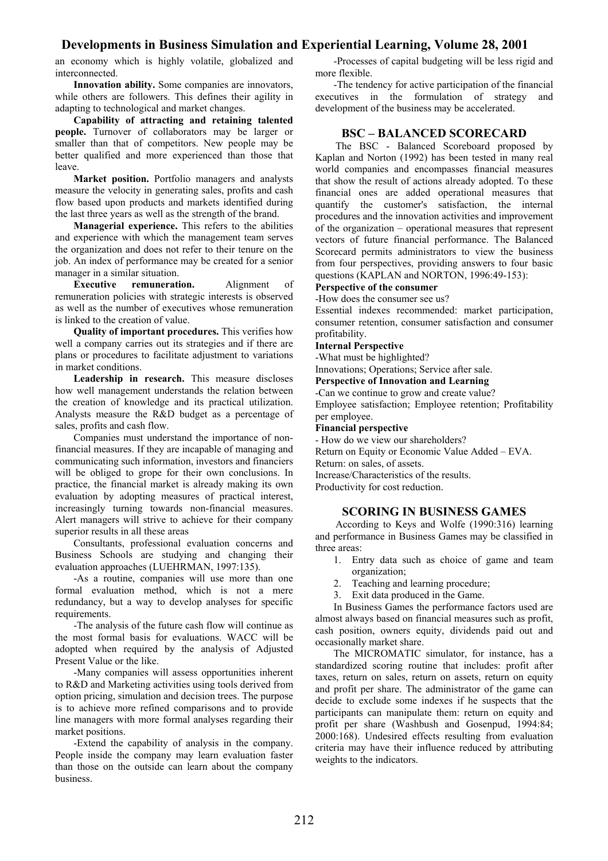an economy which is highly volatile, globalized and interconnected.

**Innovation ability.** Some companies are innovators, while others are followers. This defines their agility in adapting to technological and market changes.

**Capability of attracting and retaining talented people.** Turnover of collaborators may be larger or smaller than that of competitors. New people may be better qualified and more experienced than those that leave.

**Market position.** Portfolio managers and analysts measure the velocity in generating sales, profits and cash flow based upon products and markets identified during the last three years as well as the strength of the brand.

**Managerial experience.** This refers to the abilities and experience with which the management team serves the organization and does not refer to their tenure on the job. An index of performance may be created for a senior manager in a similar situation.

**Executive remuneration.** Alignment of remuneration policies with strategic interests is observed as well as the number of executives whose remuneration is linked to the creation of value.

**Quality of important procedures.** This verifies how well a company carries out its strategies and if there are plans or procedures to facilitate adjustment to variations in market conditions.

Leadership in research. This measure discloses how well management understands the relation between the creation of knowledge and its practical utilization. Analysts measure the R&D budget as a percentage of sales, profits and cash flow.

Companies must understand the importance of nonfinancial measures. If they are incapable of managing and communicating such information, investors and financiers will be obliged to grope for their own conclusions. In practice, the financial market is already making its own evaluation by adopting measures of practical interest, increasingly turning towards non-financial measures. Alert managers will strive to achieve for their company superior results in all these areas

Consultants, professional evaluation concerns and Business Schools are studying and changing their evaluation approaches (LUEHRMAN, 1997:135).

-As a routine, companies will use more than one formal evaluation method, which is not a mere redundancy, but a way to develop analyses for specific requirements.

-The analysis of the future cash flow will continue as the most formal basis for evaluations. WACC will be adopted when required by the analysis of Adjusted Present Value or the like.

-Many companies will assess opportunities inherent to R&D and Marketing activities using tools derived from option pricing, simulation and decision trees. The purpose is to achieve more refined comparisons and to provide line managers with more formal analyses regarding their market positions.

-Extend the capability of analysis in the company. People inside the company may learn evaluation faster than those on the outside can learn about the company business.

-Processes of capital budgeting will be less rigid and more flexible.

-The tendency for active participation of the financial executives in the formulation of strategy and development of the business may be accelerated.

## **BSC – BALANCED SCORECARD**

The BSC - Balanced Scoreboard proposed by Kaplan and Norton (1992) has been tested in many real world companies and encompasses financial measures that show the result of actions already adopted. To these financial ones are added operational measures that quantify the customer's satisfaction, the internal procedures and the innovation activities and improvement of the organization – operational measures that represent vectors of future financial performance. The Balanced Scorecard permits administrators to view the business from four perspectives, providing answers to four basic questions (KAPLAN and NORTON, 1996:49-153):

## **Perspective of the consumer**

-How does the consumer see us?

Essential indexes recommended: market participation, consumer retention, consumer satisfaction and consumer profitability.

#### **Internal Perspective**

-What must be highlighted?

Innovations; Operations; Service after sale.

**Perspective of Innovation and Learning** 

-Can we continue to grow and create value? Employee satisfaction; Employee retention; Profitability per employee.

#### **Financial perspective**

- How do we view our shareholders?

Return on Equity or Economic Value Added – EVA.

Return: on sales, of assets.

Increase/Characteristics of the results.

Productivity for cost reduction.

## **SCORING IN BUSINESS GAMES**

According to Keys and Wolfe (1990:316) learning and performance in Business Games may be classified in three areas:

- 1. Entry data such as choice of game and team organization;
- 2. Teaching and learning procedure;
- 3. Exit data produced in the Game.

In Business Games the performance factors used are almost always based on financial measures such as profit, cash position, owners equity, dividends paid out and occasionally market share.

The MICROMATIC simulator, for instance, has a standardized scoring routine that includes: profit after taxes, return on sales, return on assets, return on equity and profit per share. The administrator of the game can decide to exclude some indexes if he suspects that the participants can manipulate them: return on equity and profit per share (Washbush and Gosenpud, 1994:84; 2000:168). Undesired effects resulting from evaluation criteria may have their influence reduced by attributing weights to the indicators.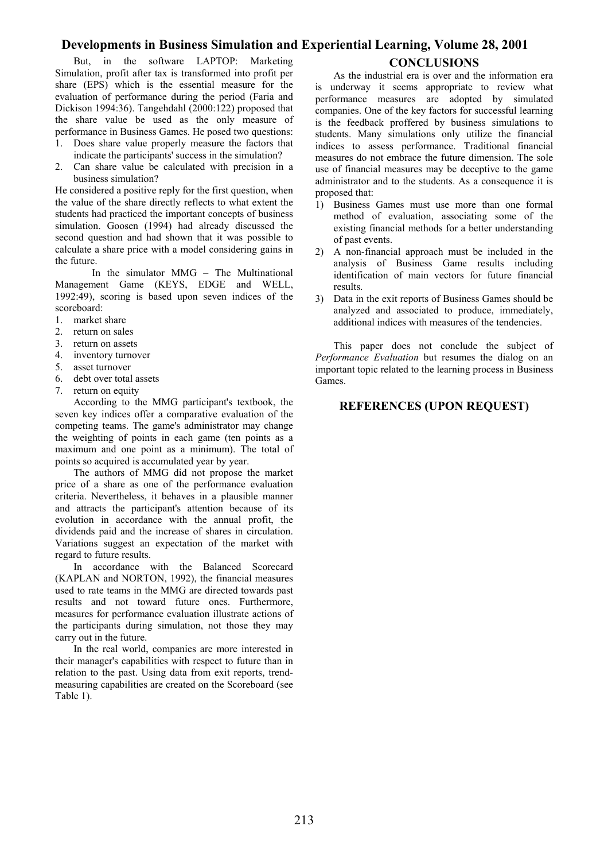But, in the software LAPTOP: Marketing Simulation, profit after tax is transformed into profit per share (EPS) which is the essential measure for the evaluation of performance during the period (Faria and Dickison 1994:36). Tangehdahl (2000:122) proposed that the share value be used as the only measure of performance in Business Games. He posed two questions:

- 1. Does share value properly measure the factors that indicate the participants' success in the simulation?
- 2. Can share value be calculated with precision in a business simulation?

He considered a positive reply for the first question, when the value of the share directly reflects to what extent the students had practiced the important concepts of business simulation. Goosen (1994) had already discussed the second question and had shown that it was possible to calculate a share price with a model considering gains in the future.

In the simulator MMG – The Multinational Management Game (KEYS, EDGE and WELL, 1992:49), scoring is based upon seven indices of the scoreboard:

- 1. market share
- 2. return on sales
- 3. return on assets
- 4. inventory turnover
- 5. asset turnover
- 6. debt over total assets
- 7. return on equity

According to the MMG participant's textbook, the seven key indices offer a comparative evaluation of the competing teams. The game's administrator may change the weighting of points in each game (ten points as a maximum and one point as a minimum). The total of points so acquired is accumulated year by year.

The authors of MMG did not propose the market price of a share as one of the performance evaluation criteria. Nevertheless, it behaves in a plausible manner and attracts the participant's attention because of its evolution in accordance with the annual profit, the dividends paid and the increase of shares in circulation. Variations suggest an expectation of the market with regard to future results.

In accordance with the Balanced Scorecard (KAPLAN and NORTON, 1992), the financial measures used to rate teams in the MMG are directed towards past results and not toward future ones. Furthermore, measures for performance evaluation illustrate actions of the participants during simulation, not those they may carry out in the future.

In the real world, companies are more interested in their manager's capabilities with respect to future than in relation to the past. Using data from exit reports, trendmeasuring capabilities are created on the Scoreboard (see Table 1).

## **CONCLUSIONS**

As the industrial era is over and the information era is underway it seems appropriate to review what performance measures are adopted by simulated companies. One of the key factors for successful learning is the feedback proffered by business simulations to students. Many simulations only utilize the financial indices to assess performance. Traditional financial measures do not embrace the future dimension. The sole use of financial measures may be deceptive to the game administrator and to the students. As a consequence it is proposed that:

- 1) Business Games must use more than one formal method of evaluation, associating some of the existing financial methods for a better understanding of past events.
- 2) A non-financial approach must be included in the analysis of Business Game results including identification of main vectors for future financial results.
- 3) Data in the exit reports of Business Games should be analyzed and associated to produce, immediately, additional indices with measures of the tendencies.

This paper does not conclude the subject of *Performance Evaluation* but resumes the dialog on an important topic related to the learning process in Business Games.

## **REFERENCES (UPON REQUEST)**